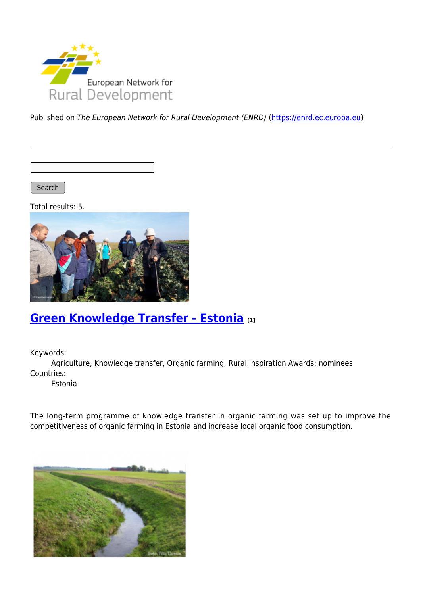

Published on The European Network for Rural Development (ENRD) [\(https://enrd.ec.europa.eu](https://enrd.ec.europa.eu))

Search |

Total results: 5.



### **[Green Knowledge Transfer - Estonia](https://enrd.ec.europa.eu/projects-practice/green-knowledge-transfer-estonia_en) [1]**

Keywords:

Agriculture, Knowledge transfer, Organic farming, Rural Inspiration Awards: nominees Countries:

Estonia

The long-term programme of knowledge transfer in organic farming was set up to improve the competitiveness of organic farming in Estonia and increase local organic food consumption.

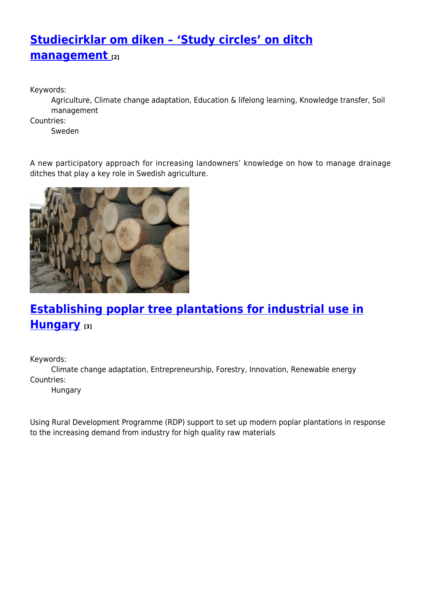# **[Studiecirklar om diken – 'Study circles' on ditch](https://enrd.ec.europa.eu/projects-practice/studiecirklar-om-diken-study-circles-ditch-management_en) [management](https://enrd.ec.europa.eu/projects-practice/studiecirklar-om-diken-study-circles-ditch-management_en) [2]**

Keywords:

Agriculture, Climate change adaptation, Education & lifelong learning, Knowledge transfer, Soil management

Countries:

Sweden

A new participatory approach for increasing landowners' knowledge on how to manage drainage ditches that play a key role in Swedish agriculture.



# **[Establishing poplar tree plantations for industrial use in](https://enrd.ec.europa.eu/projects-practice/establishing-poplar-tree-plantations-industrial-use-hungary_en) [Hungary](https://enrd.ec.europa.eu/projects-practice/establishing-poplar-tree-plantations-industrial-use-hungary_en) [3]**

Keywords:

Climate change adaptation, Entrepreneurship, Forestry, Innovation, Renewable energy Countries:

Hungary

Using Rural Development Programme (RDP) support to set up modern poplar plantations in response to the increasing demand from industry for high quality raw materials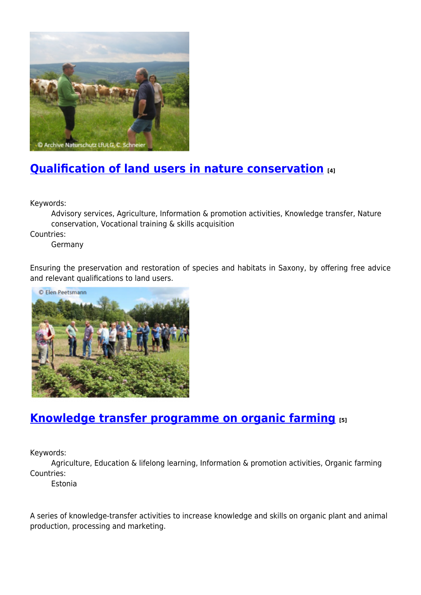

## **[Qualification of land users in nature conservation](https://enrd.ec.europa.eu/projects-practice/qualification-land-users-nature-conservation_en) [4]**

Keywords:

Advisory services, Agriculture, Information & promotion activities, Knowledge transfer, Nature conservation, Vocational training & skills acquisition

Countries:

Germany

Ensuring the preservation and restoration of species and habitats in Saxony, by offering free advice and relevant qualifications to land users.



### **[Knowledge transfer programme on organic farming](https://enrd.ec.europa.eu/projects-practice/knowledge-transfer-programme-organic-farming_en) [5]**

Keywords:

Agriculture, Education & lifelong learning, Information & promotion activities, Organic farming Countries:

Estonia

A series of knowledge-transfer activities to increase knowledge and skills on organic plant and animal production, processing and marketing.